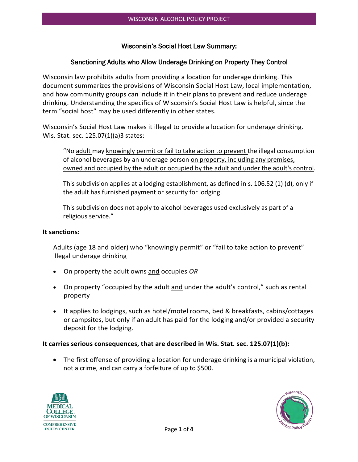#### Wisconsin's Social Host Law Summary:

#### Sanctioning Adults who Allow Underage Drinking on Property They Control

Wisconsin law prohibits adults from providing a location for underage drinking. This document summarizes the provisions of Wisconsin Social Host Law, local implementation, and how community groups can include it in their plans to prevent and reduce underage drinking. Understanding the specifics of Wisconsin's Social Host Law is helpful, since the term "social host" may be used differently in other states.

Wisconsin's Social Host Law makes it illegal to provide a location for underage drinking. Wis. Stat. sec. 125.07(1)(a)3 states:

"No adult may knowingly permit or fail to take action to prevent the illegal consumption of alcohol beverages by an underage person on property, including any premises, owned and occupied by the adult or occupied by the adult and under the adult's control.

This subdivision applies at a lodging establishment, as defined in s. 106.52 (1) (d), only if the adult has furnished payment or security for lodging.

This subdivision does not apply to alcohol beverages used exclusively as part of a religious service."

#### **It sanctions:**

Adults (age 18 and older) who "knowingly permit" or "fail to take action to prevent" illegal underage drinking

- On property the adult owns and occupies *OR*
- On property "occupied by the adult and under the adult's control," such as rental property
- It applies to lodgings, such as hotel/motel rooms, bed & breakfasts, cabins/cottages or campsites, but only if an adult has paid for the lodging and/or provided a security deposit for the lodging.

#### **It carries serious consequences, that are described in Wis. Stat. sec. 125.07(1)(b):**

• The first offense of providing a location for underage drinking is a municipal violation, not a crime, and can carry a forfeiture of up to \$500.



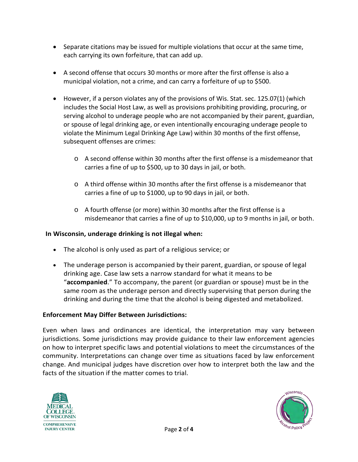- Separate citations may be issued for multiple violations that occur at the same time, each carrying its own forfeiture, that can add up.
- A second offense that occurs 30 months or more after the first offense is also a municipal violation, not a crime, and can carry a forfeiture of up to \$500.
- However, if a person violates any of the provisions of Wis. Stat. sec. 125.07(1) (which includes the Social Host Law, as well as provisions prohibiting providing, procuring, or serving alcohol to underage people who are not accompanied by their parent, guardian, or spouse of legal drinking age, or even intentionally encouraging underage people to violate the Minimum Legal Drinking Age Law) within 30 months of the first offense, subsequent offenses are crimes:
	- o A second offense within 30 months after the first offense is a misdemeanor that carries a fine of up to \$500, up to 30 days in jail, or both.
	- o A third offense within 30 months after the first offense is a misdemeanor that carries a fine of up to \$1000, up to 90 days in jail, or both.
	- o A fourth offense (or more) within 30 months after the first offense is a misdemeanor that carries a fine of up to \$10,000, up to 9 months in jail, or both.

# **In Wisconsin, underage drinking is not illegal when:**

- The alcohol is only used as part of a religious service; or
- The underage person is accompanied by their parent, guardian, or spouse of legal drinking age. Case law sets a narrow standard for what it means to be "**accompanied**." To accompany, the parent (or guardian or spouse) must be in the same room as the underage person and directly supervising that person during the drinking and during the time that the alcohol is being digested and metabolized.

### **Enforcement May Differ Between Jurisdictions:**

Even when laws and ordinances are identical, the interpretation may vary between jurisdictions. Some jurisdictions may provide guidance to their law enforcement agencies on how to interpret specific laws and potential violations to meet the circumstances of the community. Interpretations can change over time as situations faced by law enforcement change. And municipal judges have discretion over how to interpret both the law and the facts of the situation if the matter comes to trial.



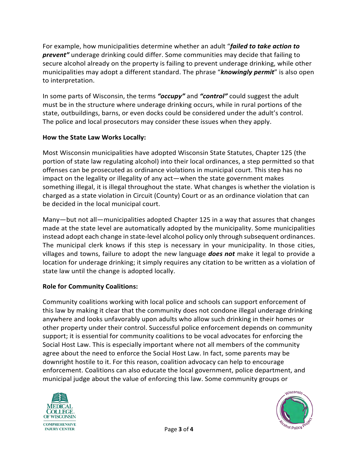For example, how municipalities determine whether an adult "*failed to take action to prevent"* underage drinking could differ. Some communities may decide that failing to secure alcohol already on the property is failing to prevent underage drinking, while other municipalities may adopt a different standard. The phrase "*knowingly permit*" is also open to interpretation.

In some parts of Wisconsin, the terms *"occupy"* and *"control"* could suggest the adult must be in the structure where underage drinking occurs, while in rural portions of the state, outbuildings, barns, or even docks could be considered under the adult's control. The police and local prosecutors may consider these issues when they apply.

## **How the State Law Works Locally:**

Most Wisconsin municipalities have adopted Wisconsin State Statutes, Chapter 125 (the portion of state law regulating alcohol) into their local ordinances, a step permitted so that offenses can be prosecuted as ordinance violations in municipal court. This step has no impact on the legality or illegality of any act—when the state government makes something illegal, it is illegal throughout the state. What changes is whether the violation is charged as a state violation in Circuit (County) Court or as an ordinance violation that can be decided in the local municipal court.

Many—but not all—municipalities adopted Chapter 125 in a way that assures that changes made at the state level are automatically adopted by the municipality. Some municipalities instead adopt each change in state-level alcohol policy only through subsequent ordinances. The municipal clerk knows if this step is necessary in your municipality. In those cities, villages and towns, failure to adopt the new language *does not* make it legal to provide a location for underage drinking; it simply requires any citation to be written as a violation of state law until the change is adopted locally.

# **Role for Community Coalitions:**

Community coalitions working with local police and schools can support enforcement of this law by making it clear that the community does not condone illegal underage drinking anywhere and looks unfavorably upon adults who allow such drinking in their homes or other property under their control. Successful police enforcement depends on community support; it is essential for community coalitions to be vocal advocates for enforcing the Social Host Law. This is especially important where not all members of the community agree about the need to enforce the Social Host Law. In fact, some parents may be downright hostile to it. For this reason, coalition advocacy can help to encourage enforcement. Coalitions can also educate the local government, police department, and municipal judge about the value of enforcing this law. Some community groups or